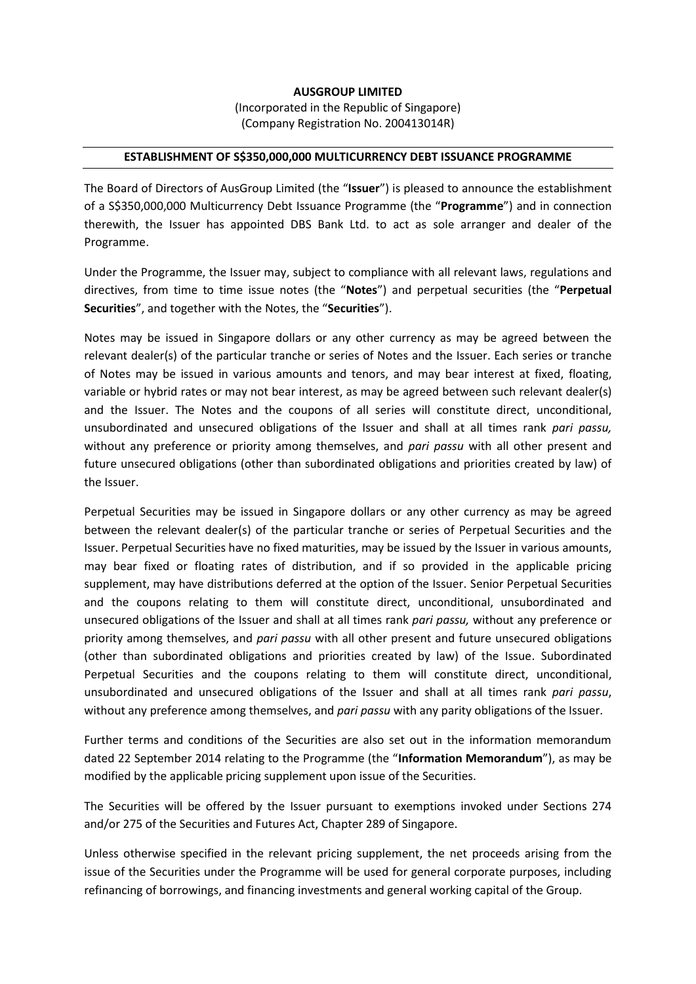## **AUSGROUP LIMITED**

(Incorporated in the Republic of Singapore) (Company Registration No. 200413014R)

## **ESTABLISHMENT OF S\$350,000,000 MULTICURRENCY DEBT ISSUANCE PROGRAMME**

The Board of Directors of AusGroup Limited (the "**Issuer**") is pleased to announce the establishment of a S\$350,000,000 Multicurrency Debt Issuance Programme (the "**Programme**") and in connection therewith, the Issuer has appointed DBS Bank Ltd. to act as sole arranger and dealer of the Programme.

Under the Programme, the Issuer may, subject to compliance with all relevant laws, regulations and directives, from time to time issue notes (the "**Notes**") and perpetual securities (the "**Perpetual Securities**", and together with the Notes, the "**Securities**").

Notes may be issued in Singapore dollars or any other currency as may be agreed between the relevant dealer(s) of the particular tranche or series of Notes and the Issuer. Each series or tranche of Notes may be issued in various amounts and tenors, and may bear interest at fixed, floating, variable or hybrid rates or may not bear interest, as may be agreed between such relevant dealer(s) and the Issuer. The Notes and the coupons of all series will constitute direct, unconditional, unsubordinated and unsecured obligations of the Issuer and shall at all times rank *pari passu,*  without any preference or priority among themselves, and *pari passu* with all other present and future unsecured obligations (other than subordinated obligations and priorities created by law) of the Issuer.

Perpetual Securities may be issued in Singapore dollars or any other currency as may be agreed between the relevant dealer(s) of the particular tranche or series of Perpetual Securities and the Issuer. Perpetual Securities have no fixed maturities, may be issued by the Issuer in various amounts, may bear fixed or floating rates of distribution, and if so provided in the applicable pricing supplement, may have distributions deferred at the option of the Issuer. Senior Perpetual Securities and the coupons relating to them will constitute direct, unconditional, unsubordinated and unsecured obligations of the Issuer and shall at all times rank *pari passu,* without any preference or priority among themselves, and *pari passu* with all other present and future unsecured obligations (other than subordinated obligations and priorities created by law) of the Issue. Subordinated Perpetual Securities and the coupons relating to them will constitute direct, unconditional, unsubordinated and unsecured obligations of the Issuer and shall at all times rank *pari passu*, without any preference among themselves, and *pari passu* with any parity obligations of the Issuer.

Further terms and conditions of the Securities are also set out in the information memorandum dated 22 September 2014 relating to the Programme (the "**Information Memorandum**"), as may be modified by the applicable pricing supplement upon issue of the Securities.

The Securities will be offered by the Issuer pursuant to exemptions invoked under Sections 274 and/or 275 of the Securities and Futures Act, Chapter 289 of Singapore.

Unless otherwise specified in the relevant pricing supplement, the net proceeds arising from the issue of the Securities under the Programme will be used for general corporate purposes, including refinancing of borrowings, and financing investments and general working capital of the Group.